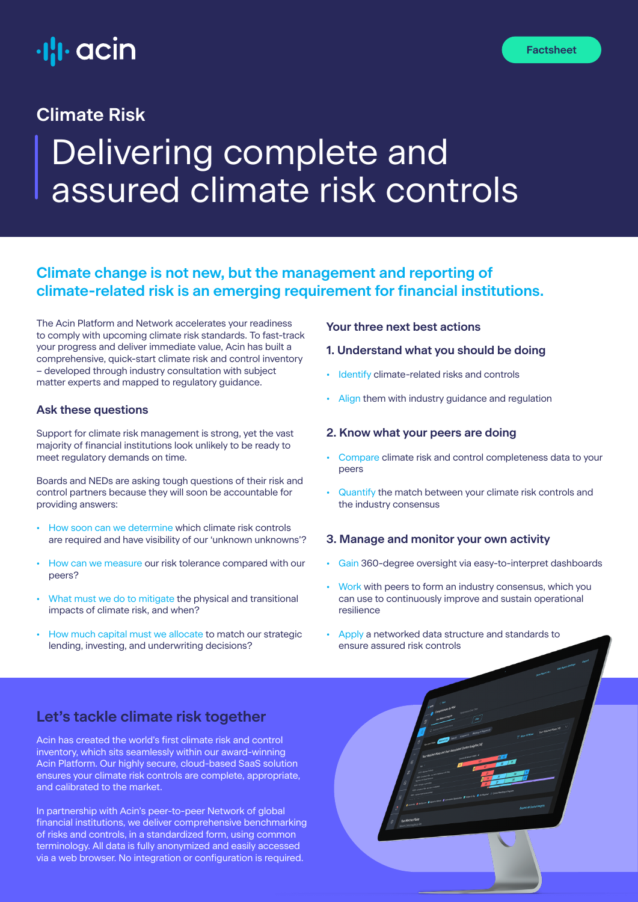

# Delivering complete and assured climate risk controls **Climate Risk**

# **Climate change is not new, but the management and reporting of climate-related risk is an emerging requirement for financial institutions.**

The Acin Platform and Network accelerates your readiness to comply with upcoming climate risk standards. To fast-track your progress and deliver immediate value, Acin has built a comprehensive, quick-start climate risk and control inventory – developed through industry consultation with subject matter experts and mapped to regulatory guidance.

#### **Ask these questions**

Support for climate risk management is strong, yet the vast majority of financial institutions look unlikely to be ready to meet regulatory demands on time.

Boards and NEDs are asking tough questions of their risk and control partners because they will soon be accountable for providing answers:

- How soon can we determine which climate risk controls are required and have visibility of our 'unknown unknowns'?
- How can we measure our risk tolerance compared with our peers?
- What must we do to mitigate the physical and transitional impacts of climate risk, and when?
- How much capital must we allocate to match our strategic lending, investing, and underwriting decisions?

## **Your three next best actions**

#### **1. Understand what you should be doing**

- Identify climate-related risks and controls
- Align them with industry guidance and regulation

## **2. Know what your peers are doing**

- Compare climate risk and control completeness data to your peers
- Quantify the match between your climate risk controls and the industry consensus

## **3. Manage and monitor your own activity**

- Gain 360-degree oversight via easy-to-interpret dashboards
- Work with peers to form an industry consensus, which you can use to continuously improve and sustain operational resilience
- Apply a networked data structure and standards to ensure assured risk controls

# **Let's tackle climate risk together**

Acin has created the world's first climate risk and control inventory, which sits seamlessly within our award-winning Acin Platform. Our highly secure, cloud-based SaaS solution ensures your climate risk controls are complete, appropriate, and calibrated to the market.

In partnership with Acin's peer-to-peer Network of global financial institutions, we deliver comprehensive benchmarking of risks and controls, in a standardized form, using common terminology. All data is fully anonymized and easily accessed via a web browser. No integration or configuration is required.